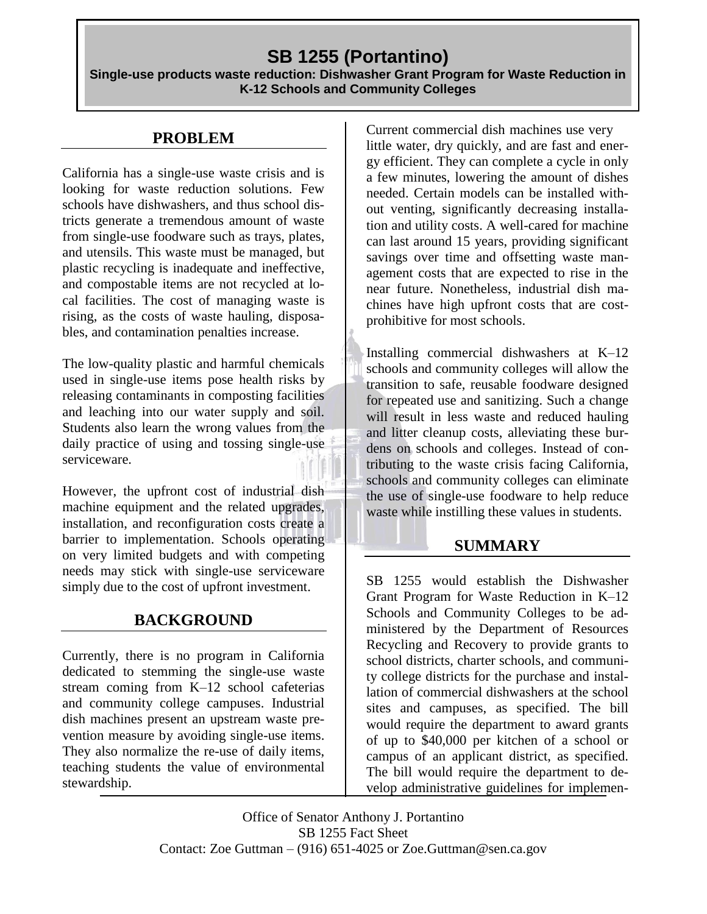# **SB 1255 (Portantino)**

**Single-use products waste reduction: Dishwasher Grant Program for Waste Reduction in K-12 Schools and Community Colleges**

## **PROBLEM**

California has a single-use waste crisis and is looking for waste reduction solutions. Few schools have dishwashers, and thus school districts generate a tremendous amount of waste from single-use foodware such as trays, plates, and utensils. This waste must be managed, but plastic recycling is inadequate and ineffective, and compostable items are not recycled at local facilities. The cost of managing waste is rising, as the costs of waste hauling, disposables, and contamination penalties increase.

The low-quality plastic and harmful chemicals used in single-use items pose health risks by releasing contaminants in composting facilities and leaching into our water supply and soil. Students also learn the wrong values from the daily practice of using and tossing single-use serviceware.

However, the upfront cost of industrial dish machine equipment and the related upgrades, installation, and reconfiguration costs create a barrier to implementation. Schools operating on very limited budgets and with competing needs may stick with single-use serviceware simply due to the cost of upfront investment.

## **BACKGROUND**

Currently, there is no program in California dedicated to stemming the single-use waste stream coming from K–12 school cafeterias and community college campuses. Industrial dish machines present an upstream waste prevention measure by avoiding single-use items. They also normalize the re-use of daily items, teaching students the value of environmental stewardship.

Current commercial dish machines use very little water, dry quickly, and are fast and energy efficient. They can complete a cycle in only a few minutes, lowering the amount of dishes needed. Certain models can be installed without venting, significantly decreasing installation and utility costs. A well-cared for machine can last around 15 years, providing significant savings over time and offsetting waste management costs that are expected to rise in the near future. Nonetheless, industrial dish machines have high upfront costs that are costprohibitive for most schools.

Installing commercial dishwashers at K–12 schools and community colleges will allow the transition to safe, reusable foodware designed for repeated use and sanitizing. Such a change will result in less waste and reduced hauling and litter cleanup costs, alleviating these burdens on schools and colleges. Instead of contributing to the waste crisis facing California, schools and community colleges can eliminate the use of single-use foodware to help reduce waste while instilling these values in students.

### **SUMMARY**

SB 1255 would establish the Dishwasher Grant Program for Waste Reduction in K–12 Schools and Community Colleges to be administered by the Department of Resources Recycling and Recovery to provide grants to school districts, charter schools, and community college districts for the purchase and installation of commercial dishwashers at the school sites and campuses, as specified. The bill would require the department to award grants of up to \$40,000 per kitchen of a school or campus of an applicant district, as specified. The bill would require the department to develop administrative guidelines for implemen-

Office of Senator Anthony J. Portantino SB 1255 Fact Sheet Contact: Zoe Guttman – (916) 651-4025 or Zoe.Guttman@sen.ca.gov